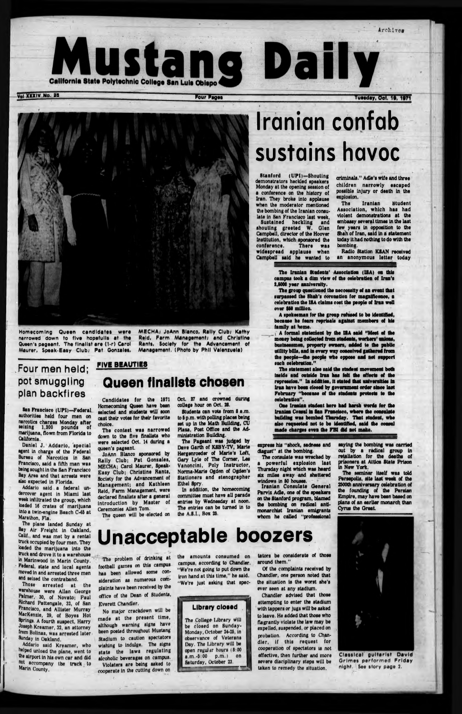

**v**ol XXXIV No. 26 **Tuesday, Ooi. 19 Four Pages Pour Pages Tuesday, Ooi. 19** 

Archives



# Iranian confab sustains havoc

Stanford (UPI)-Shouting demonstrators heckled speakers Monday at the opening session of a conference on the history of Iren. They broke Into applause when the moderator mentioned the bombing of the Iranian consulate in San Francisco last week,

Homacomlng Queen candidates wara narrowed down to five hopefulla at the Queen's pageant. The finalist are (1-r) Carol Maurer, Speak-Easy Club; Pat Gonzalee,

MECHA; JoAnn Blanco, Rally Club; Kathy Reid, Farm Management/ and Christina Rants, Society for the Advancement of Management. (Photo by Phil Valensuela)

8an Francisco (UPI)—Federal authorities held four men on narcotics charges Monday after ■siting 1,200 pounds of marijuana, flown from Florida to California.

## **Four men held; pot smuggling plan backfires**

Daniel J. Addario, special agent In charge of the Federal Bureau of Narcotics In San Francisco, said a fifth man was being sought In the San Francisco Bay Area and that arrests were also expected In Florida. Addario said a federal undercover agent In Miami last week Infiltrated the group, which loaded 16 crates of marijuana Into a twin-engine Beach C-46 at Marathon, Fla. The plane landed Sunday at Bay Air Freight In Oakland, Calif., and was met by a rental truck occupied by four men. They loaded the marijuana Into the truck and drove it to a warehouse In Marlnwood in Marin County. Federal, state and local agents moved in and arrested three men ■nd seized the contraband. Those arrested at the warehouse were Allan Oeorge Palmer, 30, of Novato; Paul Richard Pattengale, 32, of San Francisco, and Alliater Murray Mackenzie, 29, of Boyes Hot Springs. A fourth suspect, Harry Joseph Kreamer, 32, an attorney 'rom Bollnas, was arrested later Sunday in Oakland. Addario said Kreamer, who helped unload the plane, went to the airport In his own car and did not accompany the truck to Marin County,

Oct. 27 and crowned during college hour on Oct. 28.

#### FIVE BEAUTIES

# Queen finalists chosen

Candidates for the 1971 Homecoming Queen have bean selected and students will soon cast their votea for their favorite choice.

The contest was narrowed down to the five finalists who were selected Oct. 14 during a queen's pageant.

JoAnn Blanco sponsored by Rally Club; Pat Gonzales, MECHA; Carol Maurer, Speak-Easy Club; Christine Rants, Society for the Advancement of Management; and Kathleen Reid, Farm Management, were declared finalists after a general Introduction by Master of Ceremonies Allen Tom.

The queen will be elected on

Iranian Consulate General **Parvis Adle, one of the speakers on the Stanford program, blamed the bombing on radical antimonarchist Iranian emigrants whom he called "profeeelonal**

Sustained heckling and shouting greeted W. Olen Campbell, director of the Hoover Institution, which sponsored the conference. There was There was widespread applause when Campbell said he wanted to criminals." Adle's wife and three children narrowly escaped possible Injury or death In the explosion.

The Iranian Student Association, which has had violent demonstrations at the embassy several tlmee In the last few years In opposition to the Shah of Iran, said In a statement today It had nothing to do with the bombing.

Radio Station KSAN received an anonymous letter today

Students can vote from 8 s.m. to 6 p.m. with polling places being set up in the Math Building, CU Plaza, Poet Office and the Administration Building.

The Pageant was judged by Dave Garth of KSBY-TV, Marls Hergenroeder of Marie's Loft, Gary Lyle of The Comer, Les Vanonclni, Poly Instructor, Norma-Marie Ogdon of Ogden's Stationers and stenographer Ethel Spry.

In addition, the homecoming committee must have all parade entries by Wednesday at noon. The entries can be turned in to the A.S.I., Box 28.

**The Iranian Undents' Association (ISA) on this campus took a dim view of the celebration of Iran's 2,8000 year annivarsity.**

**The group questioned the neccesslty of an event that surpassed the Shah's coronation for magnificence, a** celebration the ISA claims cost the people of Iran well **over 180 million.**

**A spokeaman for the group refused to be Identified, because he (ears reprisals against members af his family at home.**

**A formal stateuioat by the ISA said "Moot of the money being collected from students, workers' unions, businessmen, property owners, added to the public utility bills, and la every way conceived gathered frees the people—the people who oppose and not support such celebration."**

**The statement also said the student movement both Inside and outside Iran has felt the effects of the repression." In addition, It stated that universities la Iran have been closed by government order since last February "because of the students protests to the celebration".**

**One Iranian student here had harsh words for the Iranian Consul la Ian Francisco, where the consulate building was bombed Thursday. That student, who also requested not to be Identified, said the consul made charges even the FBI did net make.**

**express his "shock, sadness and disgust" at the bombing.**

**The consulate was wrecked by a powerful explosion last Thursday night which was heard**

**six m iles away and shattered windows in 50 houses.**

**saying the bombing was carried out by a radical group In retaliation for the deaths of prisoners at Attica State Prison In New York.**

**The seminar Itself was told Fsreepolls, site last week of the 2800th anniversary celebration of the founding of the Persian Empire, may have been based on plans of an earlier monarch than Cyrus the Great.**

# Unacceptable boozers

The problem of drinking at football games on this campus has been allowed some consideration as numerous complaints have been received by the office of the Dean of Students, Everett Chandler.

No major crackdown will be made at the present time, although warning signs have been posted throughout Mustang Stadium to caution spectators wishing to indulge. The signs state the laws regulating alcoholic beverages on campus. Violators are being asked to cooperate In the cutting down on

the amounts consumed on campus, according to Chandler. "We're not going to put down the Iron hand at this time," he said. "We're Just asking that spec-

#### Library closed

The College- Library will be closed on Sunday-Monday, October 24-28, In observance of Veterans Day. The Library will be open regulir hours (8:00 a. m. -8:00 p.m .) on Saturday, October 23.

around them."

ever seen at any stadium.



severe disciplinary steps will be taken to remedy the situation.

effective, then further and more Classical guitarist David Grimes performed Friday night. See story page 2.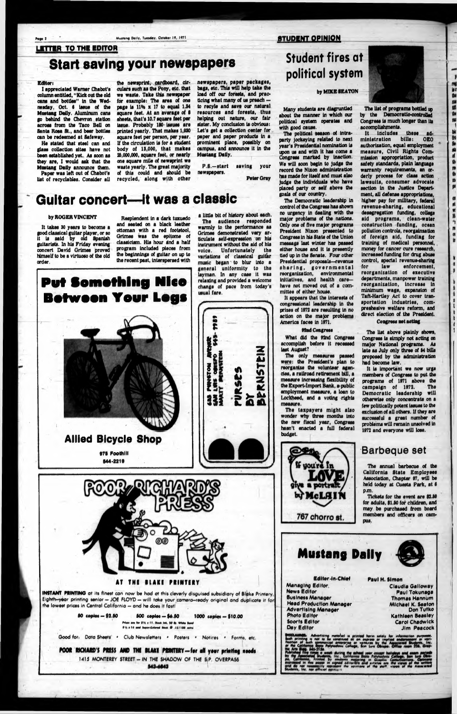Nusteng Daily, Tuesday, October 19, 1971.

# LETTER TO THE EDITOR Start saving your newspapers

#### Editor i

I appreciated Warner Chabot'e column entitled, "Kick out the old cane and bottlee" In the Wednesday, Oct. 6 Issue of the Mustang Daily. Aluminum cans go behind the Chevron station across from the Taco Bell on Santa Rosa St., and beer bottles can be redeemed at Safeway.

Ha stated that steel can and glass collection sites have not been established yet. As soon as they are, I would ask that the Mustang Daily announce them. Paper was left out of Chabot's list of recyclables. Consider all

F.S.—start saving your newspapers.

the newsprint, cardboard, circulars such as the Pony, etc. that we waste. Tske this newspaper for example: The area of one page Is 11H x 17 to equal 1.84 square feet. At an average of 8 sheets, that's 10.7 square feet per Issue. Probably 180 Issues are printed yearly. That makes 1,880 square feet per person, per year. If the circulation Is for a student body of 18,000, that makes 20,000,000, square feet, or nearly one square mile of newsprint we waste yearly. The great majority of this could snd should be recycled, slong with other

It takes 30 years to become a good classical guitar player, or so is said by old Spanish guitarists. In his Friday evening concert David Grimes proved himself to be a virtuoso of the old order.

**INSTANT PRINTINO of Its finest con now be had at this cleverly disguised subsidiary of Bloke Printery** Eighth-year printing senior - JOE FLOYD - will take your camera-ready original and duplicate it for the lowest prices in Central California - and he does it fast!

newspapers, paper packages, bags, etc. This will help take the load off our forests, and practicing what many of us preach to recyle and save our natural resources and forests, thus helping out nature, our fair sister. My conclusion is obvious: Let's get a collection center for paper and paper products in a prominent place, possibly on campus, and announce it in the Mustang Dally.

00 copies — \$2.10 800 copies - \$4.80 1000 copies - \$10.00 Prices are for 81/<sub>1</sub> a 11, Blook Int. 90 lb. White Ban *#'t's*  $\neq$  *M* and *buser-Colored Block* @ .15/100 vetro

Good fori Data Sheets . Club Newsletters . Posters . Notices . Forms, etc.

POOR RICHARD'S PRESS AND THE BLAKE PRINTERY—for all your printing needs **1415 MONTEREY STREET-IN THE SHADOW OF THE S|P OVERPASS** 543-6843

**Pater Gray**

# Guitar concert—it was a classic

#### by ROGER VINCENT

The political season of intraparty jockeying related to next year's Presidential nomination is upon us and with it has come a Congress marked by inaction. We will eoon begin to judge the record the Nixon administration has made for itself and must also judge the Individuals who have placed party or self above the goals of our country.

Resplendent in a dark tuxuedo and seated on a black leather ottoman with a red footstool, Grimes was the epitome of classicism. His hour and a half program included pieces from the beginnings of guitar on up to the recent past, interspersed with

Pvt Something Nice

# Between Your LogB

Allied Bicycle Shop **975 Foothill** •44-221t

s little bit of history about each. The audience responded warmly to the performance as Grimes demonstrated very articulate self-expression on his instrument without the aid of his voice. Unfortunately the variations of classical guitar music began to blur Into a general uniformity to the layman. In any case it was relaxing and provided a welcome change of pace from today's usual fare.

# Student fires at political system

It includes these ad-<br>ninistration bills: OEO ministration bills: authorization, equal employment measure, Civil Rights Commission appropriation, product safety standards, plain language warranty requirements, an orderly process for class action lawsuits, consumer advocate section in the Justice Department, all defense appropriations, higher pay for military, federal revenue-sharing, educational desegregation funding, college aid programs, clean-water construction funding, ocean pollution controls, reorganization of foreign aid, funding for training of medical personnel, money for cancer cure research, increased funding for drug abuse control, special revenue-sharing<br>for law enforcement. enforcement. reorganization of executive departments, manpower training reorganization, Increase in minimum wage, expansion of Taft-Hartley Act to cover transportation industries, compreshssive welfare reform, and direct election of the President.

#### **by MIKE BEATON**

Many etudente are disgruntled about the manner in which our political system operates and with good cause.

The Democratic leadership in control of the Congress has shown no urgency in dealing with the major problems of the nations. Only one of five major programs President Nixon presented to Congress in his State of the Union message last winter has passed either house and It is presently tied up in the Senate. Four other Presidential proposals—revenue sharing, governm ental reorganization, environmental initiatives, and health carehave not moved out of a committee of either house.

It appears that the interests of congressional leadership in the prizes of 1872 are resulting in no action on the major problems America faces in 1871.

#### Stod Cong reea .

What did the 82nd Congress accomplish before it recessed last August?

The only measures passed were: the President's plan to reorganize the volunteer agendas, a railroad retirement bill, a measure increasing flexibility of the Export-Import Bank, a public employment measure, a loan to Lockheed, and a voting rights measure.

The taxpayers might also wonder why three months into the new fiscal year, Congress hasn't enacted a full federal budget.



The list of programs bottled up by the Democratic-controlled Congress is much longer than its accomplishments.

reg is c the m 幽 the nu

달 Se

**SR &** 

 $\frac{1}{b}$ m  $\mathbf{p}$ 

 $\alpha$ 

#### Coagrees not acting

The list above plainly shows, Congress is simply not acting on major National programs. As late as July only three of 84 bills proposed by the administration had become law.

It is important we now urge members of Congress to put the programs of 1971 above the<br>compaign of 1972. The campaign of 1972. Dem ocratic leadership will otherwise only concentrate on a few politically potent Issues to the exclusion of all others. If they are successful a great number of problems will remain unsolved in 1872 and everyone will lose.

### **Barbeque set**

The annual barbecue of the

| by McLAIN<br>767 chorro st.                   | , , , , , , , , , , , , , , , ,<br><b>DEFDERED OF USE</b><br>California State Employees<br>Association, Chapter 97, will be<br>held today at Cuesta Park, at 6<br>D.M.<br>Tickets for the event are \$2.50<br>for adults, \$1.50 for children, and<br>may be purchased from board<br>members and officers on cam-<br>pus. |
|-----------------------------------------------|---------------------------------------------------------------------------------------------------------------------------------------------------------------------------------------------------------------------------------------------------------------------------------------------------------------------------|
| <b>Mustang Dally</b>                          |                                                                                                                                                                                                                                                                                                                           |
| Editor-in-Chief                               | Paul H. Simon                                                                                                                                                                                                                                                                                                             |
| Managing Editor,                              | <b>Claudia Galloway</b>                                                                                                                                                                                                                                                                                                   |
| <b>News Editor</b><br><b>Business Manager</b> | Paul Tokunaga                                                                                                                                                                                                                                                                                                             |
| <b>Head Production Manager</b>                | <b>Thomas Hannum</b><br><b>Michael K. Seaton</b>                                                                                                                                                                                                                                                                          |
| <b>Advertising Manager</b>                    | Don Tutko                                                                                                                                                                                                                                                                                                                 |
| <b>Photo Editor</b>                           | Kathleen Beasley                                                                                                                                                                                                                                                                                                          |
| Soorts Editor                                 | <b>Carol Chadwick</b>                                                                                                                                                                                                                                                                                                     |
| Dey Editor                                    | Jim Peacock                                                                                                                                                                                                                                                                                                               |
| ale                                           | vortising matorial is printed horin sololy for information purpos<br>construed as an express or implied and<br>morcial onterprise or vantures by the Associat<br>a Pelytechnic College, Sun Luis Obispe, Office<br>M6<br>the opinions of the sk                                                                           |



#### **STUDENT OPINION**



#### AT THE BLAKE PRINTERY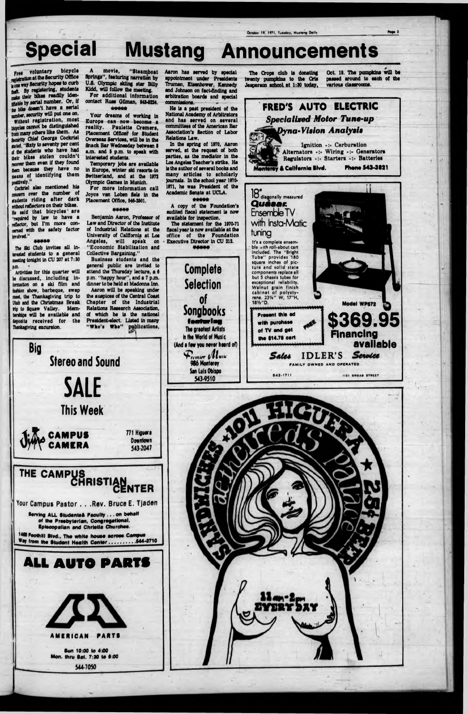#### **Special Mustang Announcements**

Free voluntary bicycle relatration at the Security Office is one way Security hopes to curb that. By registering, students make their bikes readily idenmable by serial number. Or, if the bike doesn't have a serial number, security will put one on. Without registration, most Meycles cannot be distinguished from many others like them. As security Chief George Cockriel saled, "Sixty to seventy per cent of the students who have had their bikes stolen couldn't recover them even if they found hem because they have no means of identifying them positively."

Cockriel also mentioned his concern over the number of students riding after dark without reflectors on their bikes. He said that bicycles' are "required by law to have a reflector, but I'm more concarned with the safety factor involved."

#### \*\*\*\*\*

The Ski Club invites all interested students to a general meeting tonight in CU 207 at 7:30 p.m.

Activities for this quarter will be discussed, including intermation on a ski film and fashion show, barbeque, swap meet, the Thanksgiving trip to Utah and the Christmas Break tio to Squaw Valley. Membenitios will be available and deposits received for the Thanksgiving excursion.

movie. "Steamboat Springs", featuring narration by U.S. Olympic skiing star Billy Kidd, will follow the meeting. For additional information contact Russ Gilman, 543-5224. \*\*\*\*\*

Your dreams of working in Europe can now become a reality. Paulette Cremers, Placement Officer for Student Overseas Services, will be in the **Snack Bar Wednesday between 8** a.m. and 5 p.m. to speak with interested students.

Temporary jobs are available in Europe, winter ski resorts-in Switzerland, and at the 1972 Olympic Games in Munich.

For more information call Joyce van Loben Sels in the Placement Office, 546-2501.

#### \*\*\*\*\*

Benjamin Aaron, Professor of Law and Director of the Institute of Industrial Relations at the University of California at Los Angeles, will speak on "Economic Stabilization and **Collective Bargaining."** 

Business students and the general public are invited to attend the Thursday lecture, a 6 p.m. "happy hour", and a 7 p.m.<br>dinner to be held at Madonna Inn. Aaron will be speaking under the auspices of the Central Coast Chapter of the Industrial Relations Research Association. of which he is the national President-elect. Listed in many "Who's Whe" publications,

Aaron has served by special appointment under Presidents Truman, Eisenhower, Kennedy and Johnson on fact-finding and arbitration boards and special commissions.

**National Academy of Arbitrators** and has served on several committees of the American Bar Association's Section of Labor Relations Law.

served, at the request of both parties, as the mediator in the Los Angeles Teacher's strike. He is the author of several books and many articles to scholarly journals. In the school year 1970-1971, he was President of the Academic Senate at UCLA.

audited fiscal statement is now available for inspection.

The statement for the 1970-71 fiscal year is now available at the office of the Foundation Executive Director in CU 212.

The Crops club is donating twenty pumpkins to the Cris

Jesoarson school at 1:30 today,

Ottober 19, 1971, Tuesday, Musteng Daily

Oct. 19. The pumpkins will be passed around to each of the various classrooms.